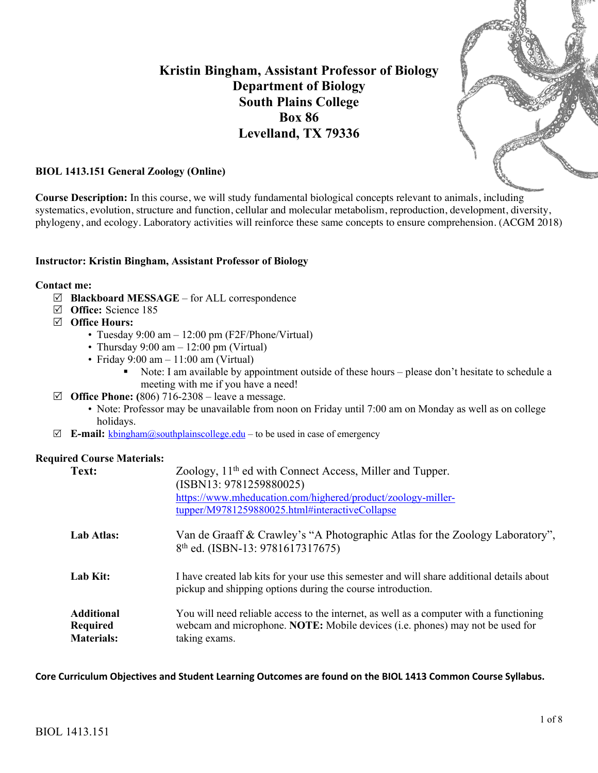# **Kristin Bingham, Assistant Professor of Biology Department of Biology South Plains College Box 86 Levelland, TX 79336**



## **BIOL 1413.151 General Zoology (Online)**

**Course Description:** In this course, we will study fundamental biological concepts relevant to animals, including systematics, evolution, structure and function, cellular and molecular metabolism, reproduction, development, diversity, phylogeny, and ecology. Laboratory activities will reinforce these same concepts to ensure comprehension. (ACGM 2018)

### **Instructor: Kristin Bingham, Assistant Professor of Biology**

#### **Contact me:**

- R **Blackboard MESSAGE** for ALL correspondence
- R **Office:** Science 185
- R **Office Hours:**
	- Tuesday  $9:00 \text{ am} 12:00 \text{ pm}$  (F2F/Phone/Virtual)
	- Thursday  $9:00 \text{ am} 12:00 \text{ pm}$  (Virtual)
	- Friday  $9:00 \text{ am} 11:00 \text{ am}$  (Virtual)
		- Note: I am available by appointment outside of these hours please don't hesitate to schedule a meeting with me if you have a need!
- $\boxtimes$  **Office Phone:** (806) 716-2308 leave a message.
	- Note: Professor may be unavailable from noon on Friday until 7:00 am on Monday as well as on college holidays.
- $\boxtimes$  **E-mail:** kbingham@southplainscollege.edu to be used in case of emergency

#### **Required Course Materials:**

| Text:                                                     | Zoology, 11 <sup>th</sup> ed with Connect Access, Miller and Tupper.<br>(ISBN13: 9781259880025)<br>https://www.mheducation.com/highered/product/zoology-miller-<br>tupper/M9781259880025.html#interactiveCollapse |
|-----------------------------------------------------------|-------------------------------------------------------------------------------------------------------------------------------------------------------------------------------------------------------------------|
| Lab Atlas:                                                | Van de Graaff & Crawley's "A Photographic Atlas for the Zoology Laboratory",<br>8 <sup>th</sup> ed. (ISBN-13: 9781617317675)                                                                                      |
| Lab Kit:                                                  | I have created lab kits for your use this semester and will share additional details about<br>pickup and shipping options during the course introduction.                                                         |
| <b>Additional</b><br><b>Required</b><br><b>Materials:</b> | You will need reliable access to the internet, as well as a computer with a functioning<br>webcam and microphone. NOTE: Mobile devices (i.e. phones) may not be used for<br>taking exams.                         |

**Core Curriculum Objectives and Student Learning Outcomes are found on the BIOL 1413 Common Course Syllabus.**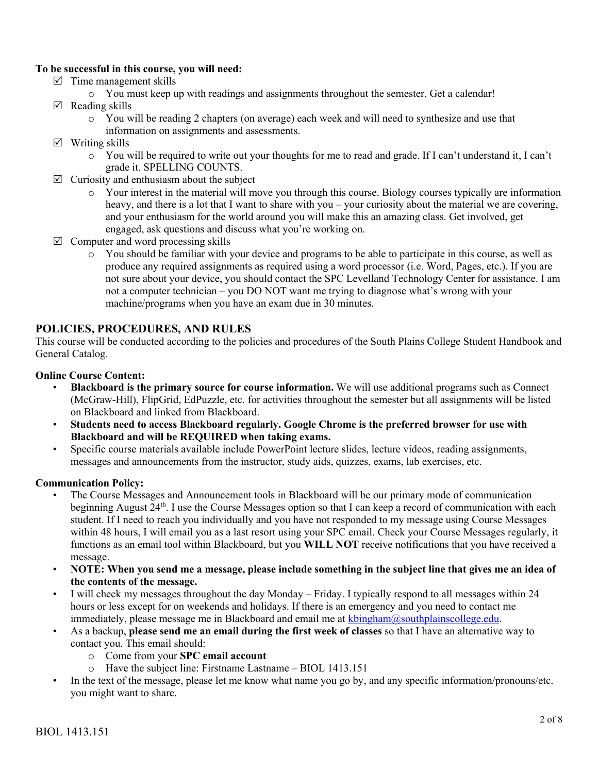# **To be successful in this course, you will need:**

- $\triangledown$  Time management skills
	- o You must keep up with readings and assignments throughout the semester. Get a calendar!
- $\boxtimes$  Reading skills
	- o You will be reading 2 chapters (on average) each week and will need to synthesize and use that information on assignments and assessments.
- $\boxtimes$  Writing skills
	- o You will be required to write out your thoughts for me to read and grade. If I can't understand it, I can't grade it. SPELLING COUNTS.
- $\triangledown$  Curiosity and enthusiasm about the subject
	- o Your interest in the material will move you through this course. Biology courses typically are information heavy, and there is a lot that I want to share with you – your curiosity about the material we are covering, and your enthusiasm for the world around you will make this an amazing class. Get involved, get engaged, ask questions and discuss what you're working on.
- $\boxtimes$  Computer and word processing skills
	- o You should be familiar with your device and programs to be able to participate in this course, as well as produce any required assignments as required using a word processor (i.e. Word, Pages, etc.). If you are not sure about your device, you should contact the SPC Levelland Technology Center for assistance. I am not a computer technician – you DO NOT want me trying to diagnose what's wrong with your machine/programs when you have an exam due in 30 minutes.

# **POLICIES, PROCEDURES, AND RULES**

This course will be conducted according to the policies and procedures of the South Plains College Student Handbook and General Catalog.

### **Online Course Content:**

- **Blackboard is the primary source for course information.** We will use additional programs such as Connect (McGraw-Hill), FlipGrid, EdPuzzle, etc. for activities throughout the semester but all assignments will be listed on Blackboard and linked from Blackboard.
- **Students need to access Blackboard regularly. Google Chrome is the preferred browser for use with Blackboard and will be REQUIRED when taking exams.**
- Specific course materials available include PowerPoint lecture slides, lecture videos, reading assignments, messages and announcements from the instructor, study aids, quizzes, exams, lab exercises, etc.

### **Communication Policy:**

- The Course Messages and Announcement tools in Blackboard will be our primary mode of communication beginning August 24<sup>th</sup>. I use the Course Messages option so that I can keep a record of communication with each student. If I need to reach you individually and you have not responded to my message using Course Messages within 48 hours, I will email you as a last resort using your SPC email. Check your Course Messages regularly, it functions as an email tool within Blackboard, but you **WILL NOT** receive notifications that you have received a message.
- **NOTE: When you send me a message, please include something in the subject line that gives me an idea of the contents of the message.**
- I will check my messages throughout the day Monday Friday. I typically respond to all messages within 24 hours or less except for on weekends and holidays. If there is an emergency and you need to contact me immediately, please message me in Blackboard and email me at kbingham@southplainscollege.edu.
- As a backup, **please send me an email during the first week of classes** so that I have an alternative way to contact you. This email should:
	- o Come from your **SPC email account**
	- o Have the subject line: Firstname Lastname BIOL 1413.151
- In the text of the message, please let me know what name you go by, and any specific information/pronouns/etc. you might want to share.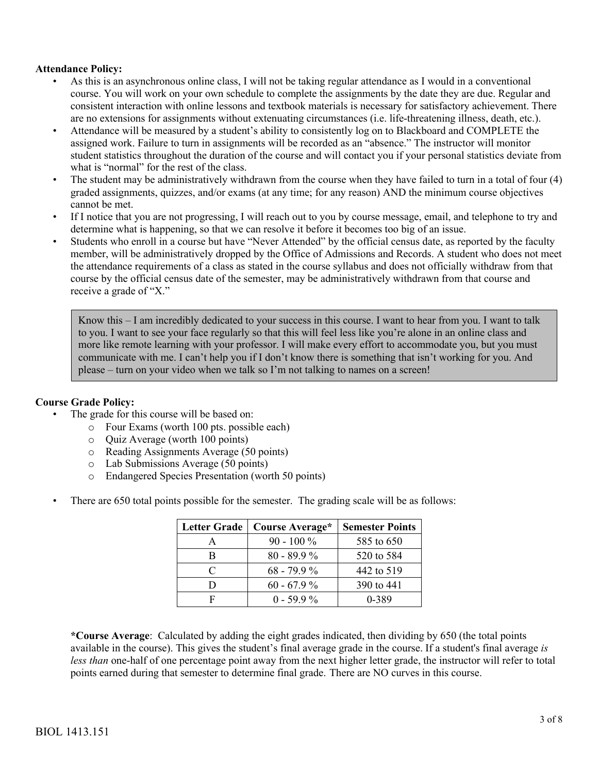## **Attendance Policy:**

- As this is an asynchronous online class, I will not be taking regular attendance as I would in a conventional course. You will work on your own schedule to complete the assignments by the date they are due. Regular and consistent interaction with online lessons and textbook materials is necessary for satisfactory achievement. There are no extensions for assignments without extenuating circumstances (i.e. life-threatening illness, death, etc.).
- Attendance will be measured by a student's ability to consistently log on to Blackboard and COMPLETE the assigned work. Failure to turn in assignments will be recorded as an "absence." The instructor will monitor student statistics throughout the duration of the course and will contact you if your personal statistics deviate from what is "normal" for the rest of the class.
- The student may be administratively withdrawn from the course when they have failed to turn in a total of four (4) graded assignments, quizzes, and/or exams (at any time; for any reason) AND the minimum course objectives cannot be met.
- If I notice that you are not progressing, I will reach out to you by course message, email, and telephone to try and determine what is happening, so that we can resolve it before it becomes too big of an issue.
- Students who enroll in a course but have "Never Attended" by the official census date, as reported by the faculty member, will be administratively dropped by the Office of Admissions and Records. A student who does not meet the attendance requirements of a class as stated in the course syllabus and does not officially withdraw from that course by the official census date of the semester, may be administratively withdrawn from that course and receive a grade of "X."

Know this – I am incredibly dedicated to your success in this course. I want to hear from you. I want to talk to you. I want to see your face regularly so that this will feel less like you're alone in an online class and more like remote learning with your professor. I will make every effort to accommodate you, but you must communicate with me. I can't help you if I don't know there is something that isn't working for you. And please – turn on your video when we talk so I'm not talking to names on a screen!

# **Course Grade Policy:**

- The grade for this course will be based on:
	- o Four Exams (worth 100 pts. possible each)
	- o Quiz Average (worth 100 points)
	- o Reading Assignments Average (50 points)
	- o Lab Submissions Average (50 points)
	- o Endangered Species Presentation (worth 50 points)
- There are 650 total points possible for the semester. The grading scale will be as follows:

| <b>Letter Grade</b> | Course Average* | <b>Semester Points</b> |
|---------------------|-----------------|------------------------|
|                     | $90 - 100 \%$   | 585 to 650             |
|                     | $80 - 89.9\%$   | 520 to 584             |
| $\subset$           | $68 - 79.9\%$   | 442 to 519             |
|                     | $60 - 67.9\%$   | 390 to 441             |
|                     | $0 - 59.9\%$    | 0-389                  |

**\*Course Average**: Calculated by adding the eight grades indicated, then dividing by 650 (the total points available in the course). This gives the student's final average grade in the course. If a student's final average *is less than* one-half of one percentage point away from the next higher letter grade, the instructor will refer to total points earned during that semester to determine final grade. There are NO curves in this course.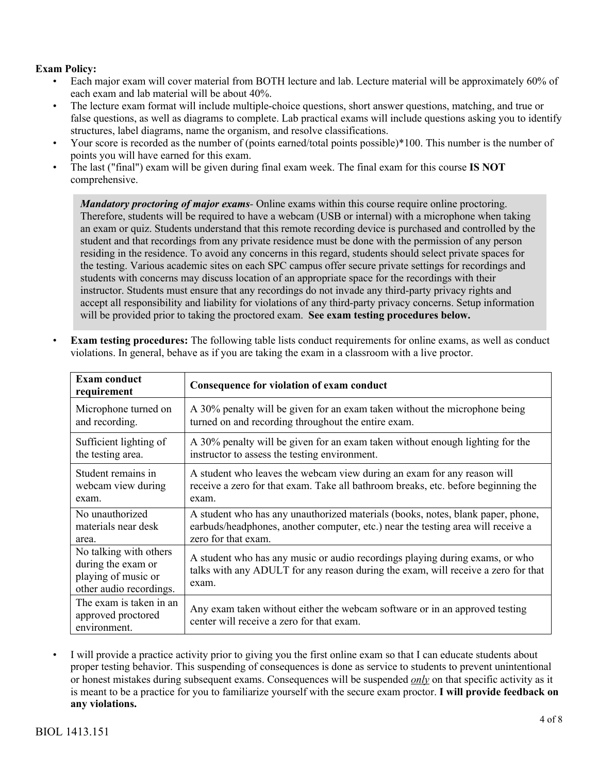# **Exam Policy:**

- Each major exam will cover material from BOTH lecture and lab. Lecture material will be approximately 60% of each exam and lab material will be about 40%.
- The lecture exam format will include multiple-choice questions, short answer questions, matching, and true or false questions, as well as diagrams to complete. Lab practical exams will include questions asking you to identify structures, label diagrams, name the organism, and resolve classifications.
- Your score is recorded as the number of (points earned/total points possible)\*100. This number is the number of points you will have earned for this exam.
- The last ("final") exam will be given during final exam week. The final exam for this course **IS NOT**  comprehensive.

*Mandatory proctoring of major exams-* Online exams within this course require online proctoring. Therefore, students will be required to have a webcam (USB or internal) with a microphone when taking an exam or quiz. Students understand that this remote recording device is purchased and controlled by the student and that recordings from any private residence must be done with the permission of any person residing in the residence. To avoid any concerns in this regard, students should select private spaces for the testing. Various academic sites on each SPC campus offer secure private settings for recordings and students with concerns may discuss location of an appropriate space for the recordings with their instructor. Students must ensure that any recordings do not invade any third-party privacy rights and accept all responsibility and liability for violations of any third-party privacy concerns. Setup information will be provided prior to taking the proctored exam. **See exam testing procedures below.**

| <b>Exam conduct</b><br>requirement                                                             | Consequence for violation of exam conduct                                                                                                                                  |
|------------------------------------------------------------------------------------------------|----------------------------------------------------------------------------------------------------------------------------------------------------------------------------|
| Microphone turned on                                                                           | A 30% penalty will be given for an exam taken without the microphone being                                                                                                 |
| and recording.                                                                                 | turned on and recording throughout the entire exam.                                                                                                                        |
| Sufficient lighting of                                                                         | A 30% penalty will be given for an exam taken without enough lighting for the                                                                                              |
| the testing area.                                                                              | instructor to assess the testing environment.                                                                                                                              |
| Student remains in                                                                             | A student who leaves the webcam view during an exam for any reason will                                                                                                    |
| webcam view during                                                                             | receive a zero for that exam. Take all bathroom breaks, etc. before beginning the                                                                                          |
| exam.                                                                                          | exam.                                                                                                                                                                      |
| No unauthorized                                                                                | A student who has any unauthorized materials (books, notes, blank paper, phone,                                                                                            |
| materials near desk                                                                            | earbuds/headphones, another computer, etc.) near the testing area will receive a                                                                                           |
| area.                                                                                          | zero for that exam.                                                                                                                                                        |
| No talking with others<br>during the exam or<br>playing of music or<br>other audio recordings. | A student who has any music or audio recordings playing during exams, or who<br>talks with any ADULT for any reason during the exam, will receive a zero for that<br>exam. |
| The exam is taken in an<br>approved proctored<br>environment.                                  | Any exam taken without either the webcam software or in an approved testing<br>center will receive a zero for that exam.                                                   |

**Exam testing procedures:** The following table lists conduct requirements for online exams, as well as conduct violations. In general, behave as if you are taking the exam in a classroom with a live proctor.

I will provide a practice activity prior to giving you the first online exam so that I can educate students about proper testing behavior. This suspending of consequences is done as service to students to prevent unintentional or honest mistakes during subsequent exams. Consequences will be suspended *only* on that specific activity as it is meant to be a practice for you to familiarize yourself with the secure exam proctor. **I will provide feedback on any violations.**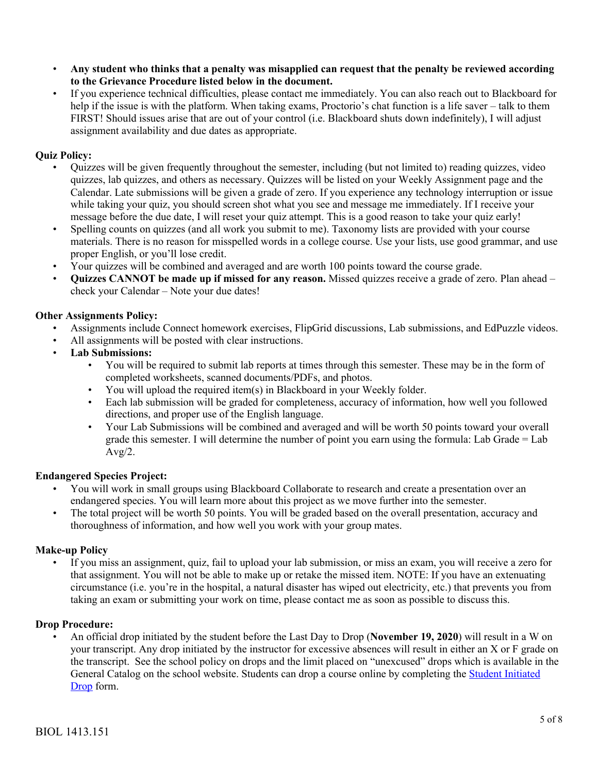- **Any student who thinks that a penalty was misapplied can request that the penalty be reviewed according to the Grievance Procedure listed below in the document.**
- If you experience technical difficulties, please contact me immediately. You can also reach out to Blackboard for help if the issue is with the platform. When taking exams, Proctorio's chat function is a life saver – talk to them FIRST! Should issues arise that are out of your control (i.e. Blackboard shuts down indefinitely), I will adjust assignment availability and due dates as appropriate.

# **Quiz Policy:**

- Quizzes will be given frequently throughout the semester, including (but not limited to) reading quizzes, video quizzes, lab quizzes, and others as necessary. Quizzes will be listed on your Weekly Assignment page and the Calendar. Late submissions will be given a grade of zero. If you experience any technology interruption or issue while taking your quiz, you should screen shot what you see and message me immediately. If I receive your message before the due date, I will reset your quiz attempt. This is a good reason to take your quiz early!
- Spelling counts on quizzes (and all work you submit to me). Taxonomy lists are provided with your course materials. There is no reason for misspelled words in a college course. Use your lists, use good grammar, and use proper English, or you'll lose credit.
- Your quizzes will be combined and averaged and are worth 100 points toward the course grade.
- **Quizzes CANNOT be made up if missed for any reason.** Missed quizzes receive a grade of zero. Plan ahead check your Calendar – Note your due dates!

### **Other Assignments Policy:**

- Assignments include Connect homework exercises, FlipGrid discussions, Lab submissions, and EdPuzzle videos.
- All assignments will be posted with clear instructions.
- **Lab Submissions:**
	- You will be required to submit lab reports at times through this semester. These may be in the form of completed worksheets, scanned documents/PDFs, and photos.
	- You will upload the required item(s) in Blackboard in your Weekly folder.
	- Each lab submission will be graded for completeness, accuracy of information, how well you followed directions, and proper use of the English language.
	- Your Lab Submissions will be combined and averaged and will be worth 50 points toward your overall grade this semester. I will determine the number of point you earn using the formula: Lab Grade = Lab  $Avg/2$ .

### **Endangered Species Project:**

- You will work in small groups using Blackboard Collaborate to research and create a presentation over an endangered species. You will learn more about this project as we move further into the semester.
- The total project will be worth 50 points. You will be graded based on the overall presentation, accuracy and thoroughness of information, and how well you work with your group mates.

### **Make-up Policy**

• If you miss an assignment, quiz, fail to upload your lab submission, or miss an exam, you will receive a zero for that assignment. You will not be able to make up or retake the missed item. NOTE: If you have an extenuating circumstance (i.e. you're in the hospital, a natural disaster has wiped out electricity, etc.) that prevents you from taking an exam or submitting your work on time, please contact me as soon as possible to discuss this.

### **Drop Procedure:**

• An official drop initiated by the student before the Last Day to Drop (**November 19, 2020**) will result in a W on your transcript. Any drop initiated by the instructor for excessive absences will result in either an X or F grade on the transcript. See the school policy on drops and the limit placed on "unexcused" drops which is available in the General Catalog on the school website. Students can drop a course online by completing the Student Initiated Drop form.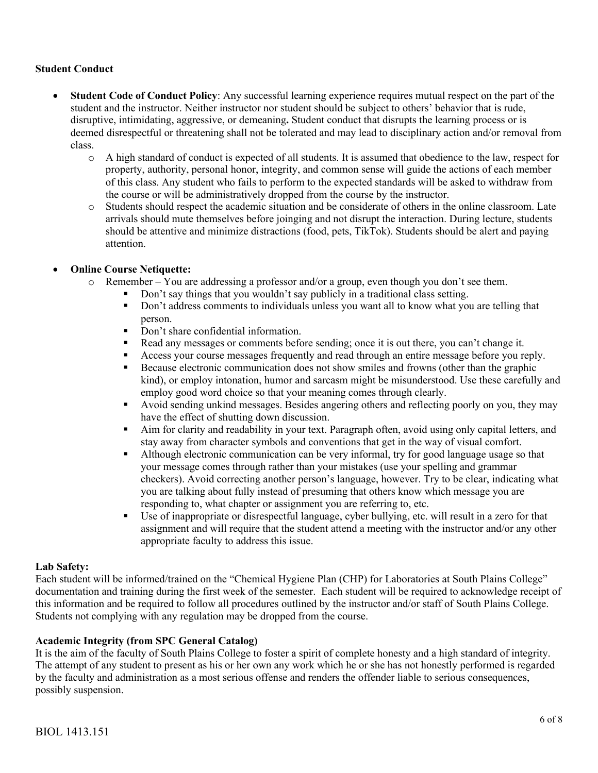## **Student Conduct**

- **Student Code of Conduct Policy**: Any successful learning experience requires mutual respect on the part of the student and the instructor. Neither instructor nor student should be subject to others' behavior that is rude, disruptive, intimidating, aggressive, or demeaning**.** Student conduct that disrupts the learning process or is deemed disrespectful or threatening shall not be tolerated and may lead to disciplinary action and/or removal from class.
	- o A high standard of conduct is expected of all students. It is assumed that obedience to the law, respect for property, authority, personal honor, integrity, and common sense will guide the actions of each member of this class. Any student who fails to perform to the expected standards will be asked to withdraw from the course or will be administratively dropped from the course by the instructor.
	- o Students should respect the academic situation and be considerate of others in the online classroom. Late arrivals should mute themselves before joinging and not disrupt the interaction. During lecture, students should be attentive and minimize distractions (food, pets, TikTok). Students should be alert and paying attention.

## • **Online Course Netiquette:**

- o Remember You are addressing a professor and/or a group, even though you don't see them.
	- Don't say things that you wouldn't say publicly in a traditional class setting.
	- Don't address comments to individuals unless you want all to know what you are telling that person.
	- Don't share confidential information.
	- Read any messages or comments before sending; once it is out there, you can't change it.
	- **•** Access your course messages frequently and read through an entire message before you reply.
	- Because electronic communication does not show smiles and frowns (other than the graphic kind), or employ intonation, humor and sarcasm might be misunderstood. Use these carefully and employ good word choice so that your meaning comes through clearly.
	- § Avoid sending unkind messages. Besides angering others and reflecting poorly on you, they may have the effect of shutting down discussion.
	- Aim for clarity and readability in your text. Paragraph often, avoid using only capital letters, and stay away from character symbols and conventions that get in the way of visual comfort.
	- Although electronic communication can be very informal, try for good language usage so that your message comes through rather than your mistakes (use your spelling and grammar checkers). Avoid correcting another person's language, however. Try to be clear, indicating what you are talking about fully instead of presuming that others know which message you are responding to, what chapter or assignment you are referring to, etc.
	- § Use of inappropriate or disrespectful language, cyber bullying, etc. will result in a zero for that assignment and will require that the student attend a meeting with the instructor and/or any other appropriate faculty to address this issue.

### **Lab Safety:**

Each student will be informed/trained on the "Chemical Hygiene Plan (CHP) for Laboratories at South Plains College" documentation and training during the first week of the semester. Each student will be required to acknowledge receipt of this information and be required to follow all procedures outlined by the instructor and/or staff of South Plains College. Students not complying with any regulation may be dropped from the course.

## **Academic Integrity (from SPC General Catalog)**

It is the aim of the faculty of South Plains College to foster a spirit of complete honesty and a high standard of integrity. The attempt of any student to present as his or her own any work which he or she has not honestly performed is regarded by the faculty and administration as a most serious offense and renders the offender liable to serious consequences, possibly suspension.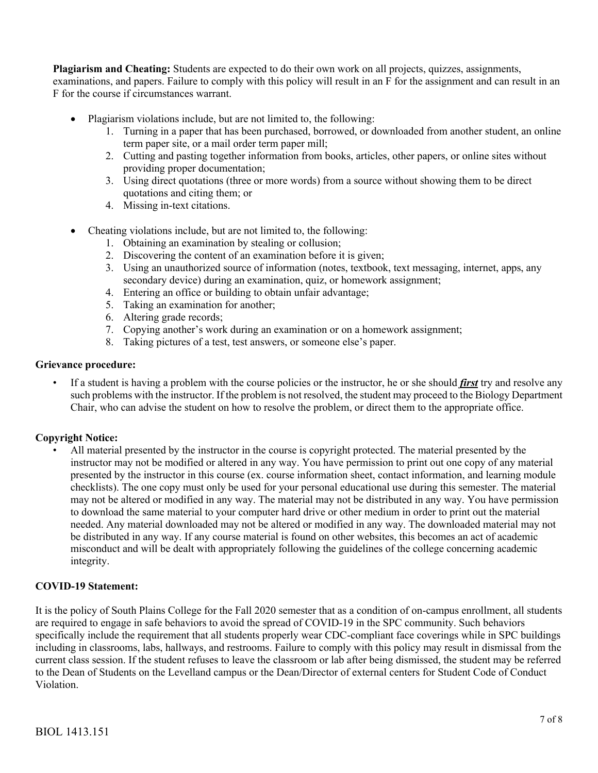**Plagiarism and Cheating:** Students are expected to do their own work on all projects, quizzes, assignments,

examinations, and papers. Failure to comply with this policy will result in an F for the assignment and can result in an F for the course if circumstances warrant.

- Plagiarism violations include, but are not limited to, the following:
	- 1. Turning in a paper that has been purchased, borrowed, or downloaded from another student, an online term paper site, or a mail order term paper mill;
	- 2. Cutting and pasting together information from books, articles, other papers, or online sites without providing proper documentation;
	- 3. Using direct quotations (three or more words) from a source without showing them to be direct quotations and citing them; or
	- 4. Missing in-text citations.
- Cheating violations include, but are not limited to, the following:
	- 1. Obtaining an examination by stealing or collusion;
	- 2. Discovering the content of an examination before it is given;
	- 3. Using an unauthorized source of information (notes, textbook, text messaging, internet, apps, any secondary device) during an examination, quiz, or homework assignment;
	- 4. Entering an office or building to obtain unfair advantage;
	- 5. Taking an examination for another;
	- 6. Altering grade records;
	- 7. Copying another's work during an examination or on a homework assignment;
	- 8. Taking pictures of a test, test answers, or someone else's paper.

#### **Grievance procedure:**

• If a student is having a problem with the course policies or the instructor, he or she should *first* try and resolve any such problems with the instructor. If the problem is not resolved, the student may proceed to the Biology Department Chair, who can advise the student on how to resolve the problem, or direct them to the appropriate office.

### **Copyright Notice:**

• All material presented by the instructor in the course is copyright protected. The material presented by the instructor may not be modified or altered in any way. You have permission to print out one copy of any material presented by the instructor in this course (ex. course information sheet, contact information, and learning module checklists). The one copy must only be used for your personal educational use during this semester. The material may not be altered or modified in any way. The material may not be distributed in any way. You have permission to download the same material to your computer hard drive or other medium in order to print out the material needed. Any material downloaded may not be altered or modified in any way. The downloaded material may not be distributed in any way. If any course material is found on other websites, this becomes an act of academic misconduct and will be dealt with appropriately following the guidelines of the college concerning academic integrity.

### **COVID-19 Statement:**

It is the policy of South Plains College for the Fall 2020 semester that as a condition of on-campus enrollment, all students are required to engage in safe behaviors to avoid the spread of COVID-19 in the SPC community. Such behaviors specifically include the requirement that all students properly wear CDC-compliant face coverings while in SPC buildings including in classrooms, labs, hallways, and restrooms. Failure to comply with this policy may result in dismissal from the current class session. If the student refuses to leave the classroom or lab after being dismissed, the student may be referred to the Dean of Students on the Levelland campus or the Dean/Director of external centers for Student Code of Conduct Violation.